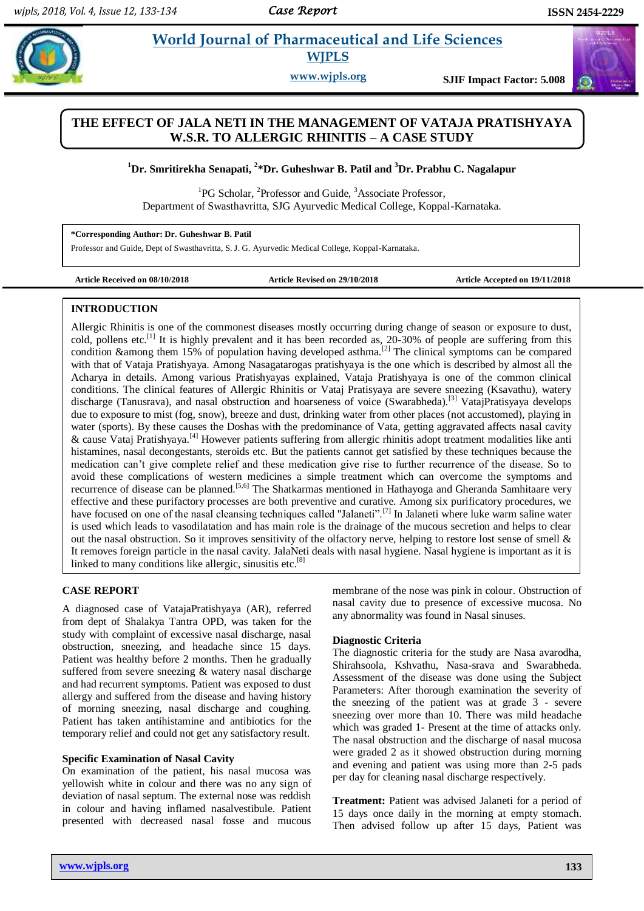# **Patill** *Et al. a* **World Journal of Pharmaceutical and Life Sciences WJPLS**

**www.wjpls.org SJIF Impact Factor: 5.008**

# **THE EFFECT OF JALA NETI IN THE MANAGEMENT OF VATAJA PRATISHYAYA W.S.R. TO ALLERGIC RHINITIS – A CASE STUDY**

# **<sup>1</sup>Dr. Smritirekha Senapati, 2 \*Dr. Guheshwar B. Patil and <sup>3</sup>Dr. Prabhu C. Nagalapur**

<sup>1</sup>PG Scholar, <sup>2</sup>Professor and Guide, <sup>3</sup>Associate Professor, Department of Swasthavritta, SJG Ayurvedic Medical College, Koppal-Karnataka.

**\*Corresponding Author: Dr. Guheshwar B. Patil**

Professor and Guide, Dept of Swasthavritta, S. J. G. Ayurvedic Medical College, Koppal-Karnataka.

**Article Received on 08/10/2018 Article Revised on 29/10/2018 Article Accepted on 19/11/2018**

#### **INTRODUCTION**

Allergic Rhinitis is one of the commonest diseases mostly occurring during change of season or exposure to dust, cold, pollens etc.<sup>[1]</sup> It is highly prevalent and it has been recorded as, 20-30% of people are suffering from this condition &among them 15% of population having developed asthma.<sup>[2]</sup> The clinical symptoms can be compared with that of Vataja Pratishyaya. Among Nasagatarogas pratishyaya is the one which is described by almost all the Acharya in details. Among various Pratishyayas explained, Vataja Pratishyaya is one of the common clinical conditions. The clinical features of Allergic Rhinitis or Vataj Pratisyaya are severe sneezing (Ksavathu), watery discharge (Tanusrava), and nasal obstruction and hoarseness of voice (Swarabheda).<sup>[3]</sup> VatajPratisyaya develops due to exposure to mist (fog, snow), breeze and dust, drinking water from other places (not accustomed), playing in water (sports). By these causes the Doshas with the predominance of Vata, getting aggravated affects nasal cavity & cause Vataj Pratishyaya.[4] However patients suffering from allergic rhinitis adopt treatment modalities like anti histamines, nasal decongestants, steroids etc. But the patients cannot get satisfied by these techniques because the medication can't give complete relief and these medication give rise to further recurrence of the disease. So to avoid these complications of western medicines a simple treatment which can overcome the symptoms and recurrence of disease can be planned.[5,6] The Shatkarmas mentioned in Hathayoga and Gheranda Samhitaare very effective and these purifactory processes are both preventive and curative. Among six purificatory procedures, we have focused on one of the nasal cleansing techniques called "Jalaneti".<sup>[7]</sup> In Jalaneti where luke warm saline water is used which leads to vasodilatation and has main role is the drainage of the mucous secretion and helps to clear out the nasal obstruction. So it improves sensitivity of the olfactory nerve, helping to restore lost sense of smell & It removes foreign particle in the nasal cavity. JalaNeti deals with nasal hygiene. Nasal hygiene is important as it is linked to many conditions like allergic, sinusitis etc.<sup>[8]</sup>

#### **CASE REPORT**

A diagnosed case of VatajaPratishyaya (AR), referred from dept of Shalakya Tantra OPD, was taken for the study with complaint of excessive nasal discharge, nasal obstruction, sneezing, and headache since 15 days. Patient was healthy before 2 months. Then he gradually suffered from severe sneezing & watery nasal discharge and had recurrent symptoms. Patient was exposed to dust allergy and suffered from the disease and having history of morning sneezing, nasal discharge and coughing. Patient has taken antihistamine and antibiotics for the temporary relief and could not get any satisfactory result.

#### **Specific Examination of Nasal Cavity**

On examination of the patient, his nasal mucosa was yellowish white in colour and there was no any sign of deviation of nasal septum. The external nose was reddish in colour and having inflamed nasalvestibule. Patient presented with decreased nasal fosse and mucous

membrane of the nose was pink in colour. Obstruction of nasal cavity due to presence of excessive mucosa. No any abnormality was found in Nasal sinuses.

#### **Diagnostic Criteria**

The diagnostic criteria for the study are Nasa avarodha, Shirahsoola, Kshvathu, Nasa-srava and Swarabheda. Assessment of the disease was done using the Subject Parameters: After thorough examination the severity of the sneezing of the patient was at grade 3 - severe sneezing over more than 10. There was mild headache which was graded 1- Present at the time of attacks only. The nasal obstruction and the discharge of nasal mucosa were graded 2 as it showed obstruction during morning and evening and patient was using more than 2-5 pads per day for cleaning nasal discharge respectively.

**Treatment:** Patient was advised Jalaneti for a period of 15 days once daily in the morning at empty stomach. Then advised follow up after 15 days, Patient was